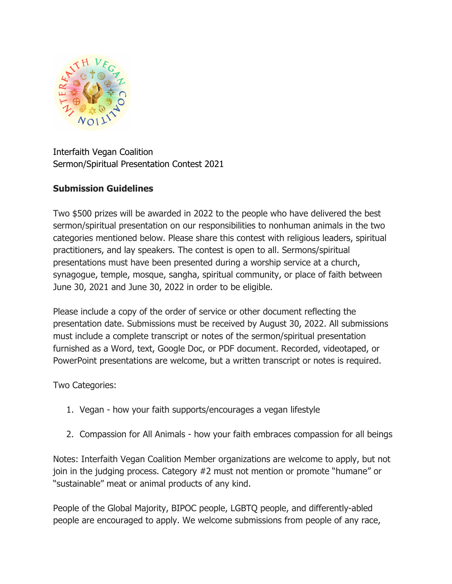

Interfaith Vegan Coalition Sermon/Spiritual Presentation Contest 2021

## **Submission Guidelines**

Two \$500 prizes will be awarded in 2022 to the people who have delivered the best sermon/spiritual presentation on our responsibilities to nonhuman animals in the two categories mentioned below. Please share this contest with religious leaders, spiritual practitioners, and lay speakers. The contest is open to all. Sermons/spiritual presentations must have been presented during a worship service at a church, synagogue, temple, mosque, sangha, spiritual community, or place of faith between June 30, 2021 and June 30, 2022 in order to be eligible.

Please include a copy of the order of service or other document reflecting the presentation date. Submissions must be received by August 30, 2022. All submissions must include a complete transcript or notes of the sermon/spiritual presentation furnished as a Word, text, Google Doc, or PDF document. Recorded, videotaped, or PowerPoint presentations are welcome, but a written transcript or notes is required.

Two Categories:

- 1. Vegan how your faith supports/encourages a vegan lifestyle
- 2. Compassion for All Animals how your faith embraces compassion for all beings

Notes: Interfaith Vegan Coalition Member organizations are welcome to apply, but not join in the judging process. Category #2 must not mention or promote "humane" or "sustainable" meat or animal products of any kind.

People of the Global Majority, BIPOC people, LGBTQ people, and differently-abled people are encouraged to apply. We welcome submissions from people of any race,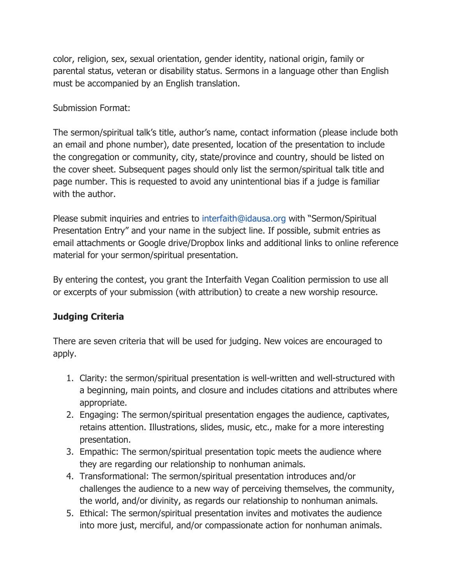color, religion, sex, sexual orientation, gender identity, national origin, family or parental status, veteran or disability status. Sermons in a language other than English must be accompanied by an English translation.

Submission Format:

The sermon/spiritual talk's title, author's name, contact information (please include both an email and phone number), date presented, location of the presentation to include the congregation or community, city, state/province and country, should be listed on the cover sheet. Subsequent pages should only list the sermon/spiritual talk title and page number. This is requested to avoid any unintentional bias if a judge is familiar with the author.

Please submit inquiries and entries to interfaith@idausa.org with "Sermon/Spiritual Presentation Entry" and your name in the subject line. If possible, submit entries as email attachments or Google drive/Dropbox links and additional links to online reference material for your sermon/spiritual presentation.

By entering the contest, you grant the Interfaith Vegan Coalition permission to use all or excerpts of your submission (with attribution) to create a new worship resource.

## **Judging Criteria**

There are seven criteria that will be used for judging. New voices are encouraged to apply.

- 1. Clarity: the sermon/spiritual presentation is well-written and well-structured with a beginning, main points, and closure and includes citations and attributes where appropriate.
- 2. Engaging: The sermon/spiritual presentation engages the audience, captivates, retains attention. Illustrations, slides, music, etc., make for a more interesting presentation.
- 3. Empathic: The sermon/spiritual presentation topic meets the audience where they are regarding our relationship to nonhuman animals.
- 4. Transformational: The sermon/spiritual presentation introduces and/or challenges the audience to a new way of perceiving themselves, the community, the world, and/or divinity, as regards our relationship to nonhuman animals.
- 5. Ethical: The sermon/spiritual presentation invites and motivates the audience into more just, merciful, and/or compassionate action for nonhuman animals.